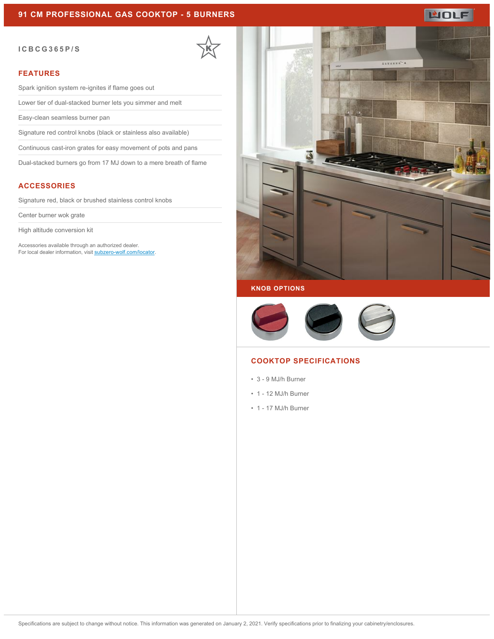#### **ICBCG365P/S**

#### **FEATURES**

Spark ignition system re-ignites if flame goes out

Lower tier of dual-stacked burner lets you simmer and melt

Easy-clean seamless burner pan

Signature red control knobs (black or stainless also available)

Continuous cast-iron grates for easy movement of pots and pans

Dual-stacked burners go from 17 MJ down to a mere breath of flame

### **ACCESSORIES**

Signature red, black or brushed stainless control knobs

Center burner wok grate

High altitude conversion kit

Accessories available through an authorized dealer. For local dealer information, visit [subzero-wolf.com/locator.](http://www.subzero-wolf.com/locator)



WOLF

#### **KNOB OPTIONS**



#### **COOKTOP SPECIFICATIONS**

- 3 9 MJ/h Burner
- 1 12 MJ/h Burner
- 1 17 MJ/h Burner